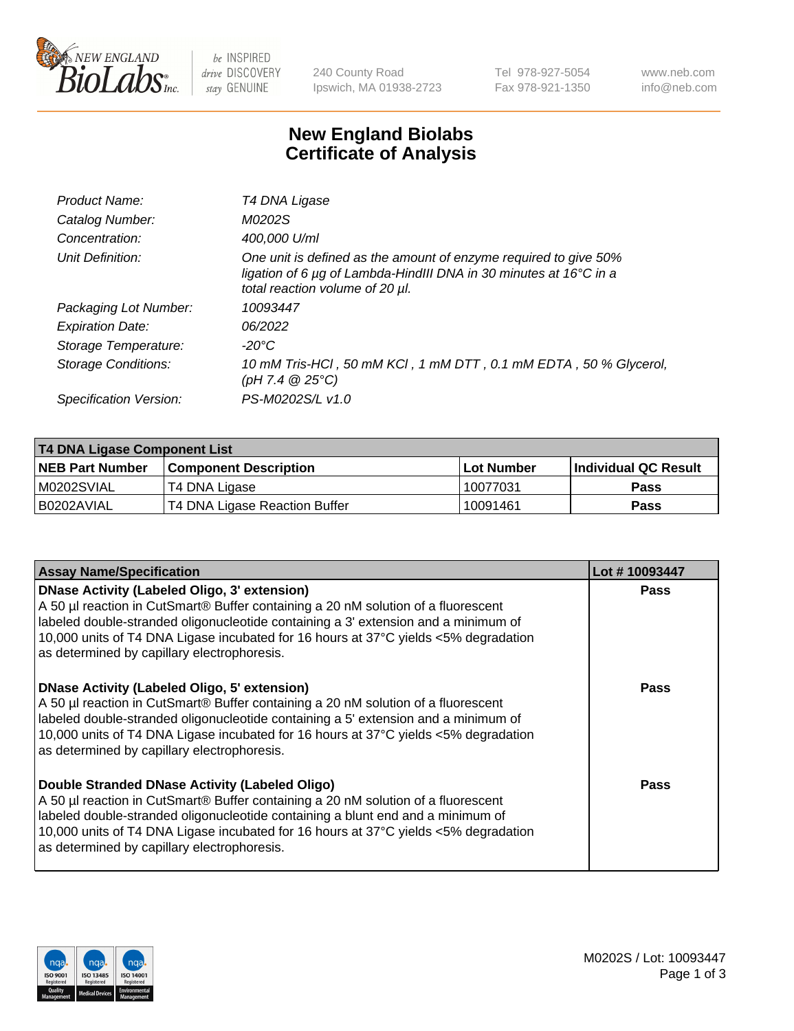

be INSPIRED drive DISCOVERY stay GENUINE

240 County Road Ipswich, MA 01938-2723 Tel 978-927-5054 Fax 978-921-1350 www.neb.com info@neb.com

## **New England Biolabs Certificate of Analysis**

| Product Name:              | T4 DNA Ligase                                                                                                                                                            |
|----------------------------|--------------------------------------------------------------------------------------------------------------------------------------------------------------------------|
| Catalog Number:            | M0202S                                                                                                                                                                   |
| Concentration:             | 400,000 U/ml                                                                                                                                                             |
| Unit Definition:           | One unit is defined as the amount of enzyme required to give 50%<br>ligation of 6 µg of Lambda-HindIII DNA in 30 minutes at 16°C in a<br>total reaction volume of 20 µl. |
| Packaging Lot Number:      | 10093447                                                                                                                                                                 |
| <b>Expiration Date:</b>    | 06/2022                                                                                                                                                                  |
| Storage Temperature:       | -20°C                                                                                                                                                                    |
| <b>Storage Conditions:</b> | 10 mM Tris-HCl, 50 mM KCl, 1 mM DTT, 0.1 mM EDTA, 50 % Glycerol,<br>(pH 7.4 $@25°C$ )                                                                                    |
| Specification Version:     | PS-M0202S/L v1.0                                                                                                                                                         |

| T4 DNA Ligase Component List |                               |              |                             |  |  |
|------------------------------|-------------------------------|--------------|-----------------------------|--|--|
| <b>NEB Part Number</b>       | <b>Component Description</b>  | l Lot Number | <b>Individual QC Result</b> |  |  |
| M0202SVIAL                   | T4 DNA Ligase                 | 10077031     | <b>Pass</b>                 |  |  |
| I B0202AVIAL                 | T4 DNA Ligase Reaction Buffer | 10091461     | <b>Pass</b>                 |  |  |

| <b>Assay Name/Specification</b>                                                                                                                                                                                                                                                                                                                               | Lot #10093447 |
|---------------------------------------------------------------------------------------------------------------------------------------------------------------------------------------------------------------------------------------------------------------------------------------------------------------------------------------------------------------|---------------|
| DNase Activity (Labeled Oligo, 3' extension)<br>A 50 µl reaction in CutSmart® Buffer containing a 20 nM solution of a fluorescent<br>abeled double-stranded oligonucleotide containing a 3' extension and a minimum of<br>10,000 units of T4 DNA Ligase incubated for 16 hours at 37°C yields <5% degradation<br>as determined by capillary electrophoresis.  | <b>Pass</b>   |
| DNase Activity (Labeled Oligo, 5' extension)<br>A 50 µl reaction in CutSmart® Buffer containing a 20 nM solution of a fluorescent<br>labeled double-stranded oligonucleotide containing a 5' extension and a minimum of<br>10,000 units of T4 DNA Ligase incubated for 16 hours at 37°C yields <5% degradation<br>as determined by capillary electrophoresis. | Pass          |
| Double Stranded DNase Activity (Labeled Oligo)<br>A 50 µl reaction in CutSmart® Buffer containing a 20 nM solution of a fluorescent<br>abeled double-stranded oligonucleotide containing a blunt end and a minimum of<br>10,000 units of T4 DNA Ligase incubated for 16 hours at 37°C yields <5% degradation<br>as determined by capillary electrophoresis.   | Pass          |

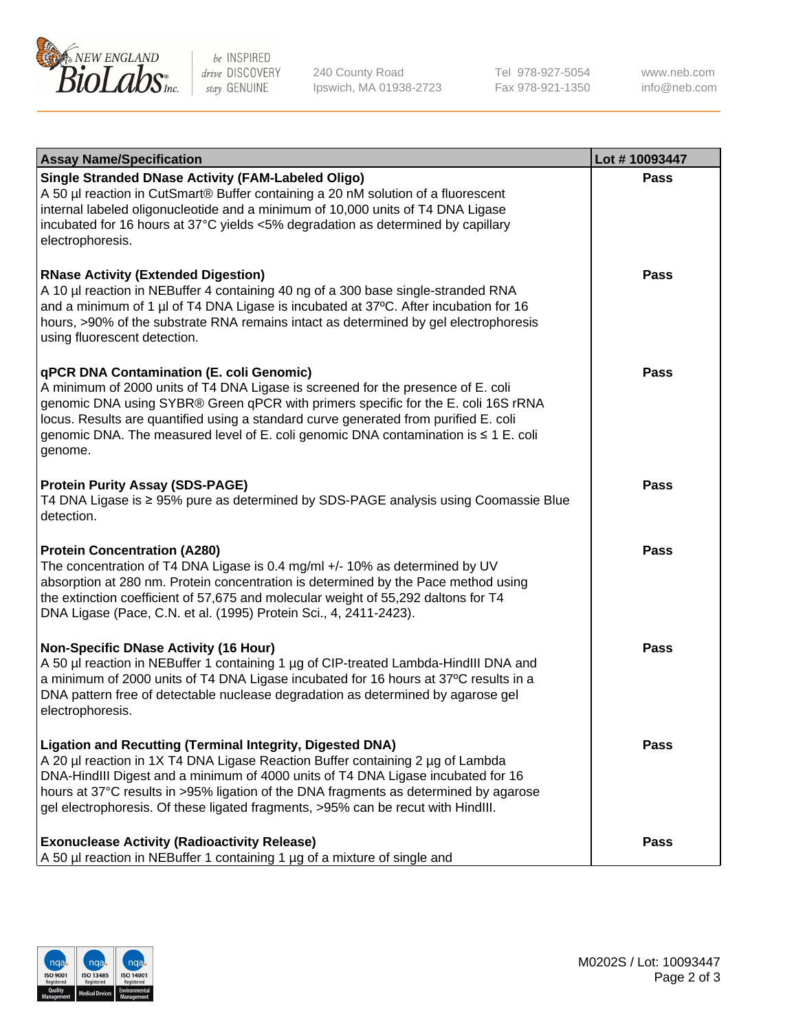

be INSPIRED drive DISCOVERY stay GENUINE

240 County Road Ipswich, MA 01938-2723 Tel 978-927-5054 Fax 978-921-1350 www.neb.com info@neb.com

| <b>Assay Name/Specification</b>                                                                                                                                                                                                                                                                                                                                                                                    | Lot #10093447 |
|--------------------------------------------------------------------------------------------------------------------------------------------------------------------------------------------------------------------------------------------------------------------------------------------------------------------------------------------------------------------------------------------------------------------|---------------|
| <b>Single Stranded DNase Activity (FAM-Labeled Oligo)</b><br>A 50 µl reaction in CutSmart® Buffer containing a 20 nM solution of a fluorescent<br>internal labeled oligonucleotide and a minimum of 10,000 units of T4 DNA Ligase<br>incubated for 16 hours at 37°C yields <5% degradation as determined by capillary<br>electrophoresis.                                                                          | <b>Pass</b>   |
| <b>RNase Activity (Extended Digestion)</b><br>A 10 µl reaction in NEBuffer 4 containing 40 ng of a 300 base single-stranded RNA<br>and a minimum of 1 µl of T4 DNA Ligase is incubated at 37°C. After incubation for 16<br>hours, >90% of the substrate RNA remains intact as determined by gel electrophoresis<br>using fluorescent detection.                                                                    | Pass          |
| qPCR DNA Contamination (E. coli Genomic)<br>A minimum of 2000 units of T4 DNA Ligase is screened for the presence of E. coli<br>genomic DNA using SYBR® Green qPCR with primers specific for the E. coli 16S rRNA<br>locus. Results are quantified using a standard curve generated from purified E. coli<br>genomic DNA. The measured level of E. coli genomic DNA contamination is $\leq 1$ E. coli<br>genome.   | Pass          |
| <b>Protein Purity Assay (SDS-PAGE)</b><br>T4 DNA Ligase is ≥ 95% pure as determined by SDS-PAGE analysis using Coomassie Blue<br>detection.                                                                                                                                                                                                                                                                        | Pass          |
| <b>Protein Concentration (A280)</b><br>The concentration of T4 DNA Ligase is 0.4 mg/ml +/- 10% as determined by UV<br>absorption at 280 nm. Protein concentration is determined by the Pace method using<br>the extinction coefficient of 57,675 and molecular weight of 55,292 daltons for T4<br>DNA Ligase (Pace, C.N. et al. (1995) Protein Sci., 4, 2411-2423).                                                | <b>Pass</b>   |
| <b>Non-Specific DNase Activity (16 Hour)</b><br>A 50 µl reaction in NEBuffer 1 containing 1 µg of CIP-treated Lambda-HindIII DNA and<br>a minimum of 2000 units of T4 DNA Ligase incubated for 16 hours at 37°C results in a<br>DNA pattern free of detectable nuclease degradation as determined by agarose gel<br>electrophoresis.                                                                               | <b>Pass</b>   |
| <b>Ligation and Recutting (Terminal Integrity, Digested DNA)</b><br>A 20 µl reaction in 1X T4 DNA Ligase Reaction Buffer containing 2 µg of Lambda<br>DNA-HindIII Digest and a minimum of 4000 units of T4 DNA Ligase incubated for 16<br>hours at 37°C results in >95% ligation of the DNA fragments as determined by agarose<br>gel electrophoresis. Of these ligated fragments, >95% can be recut with HindIII. | Pass          |
| <b>Exonuclease Activity (Radioactivity Release)</b><br>A 50 µl reaction in NEBuffer 1 containing 1 µg of a mixture of single and                                                                                                                                                                                                                                                                                   | <b>Pass</b>   |